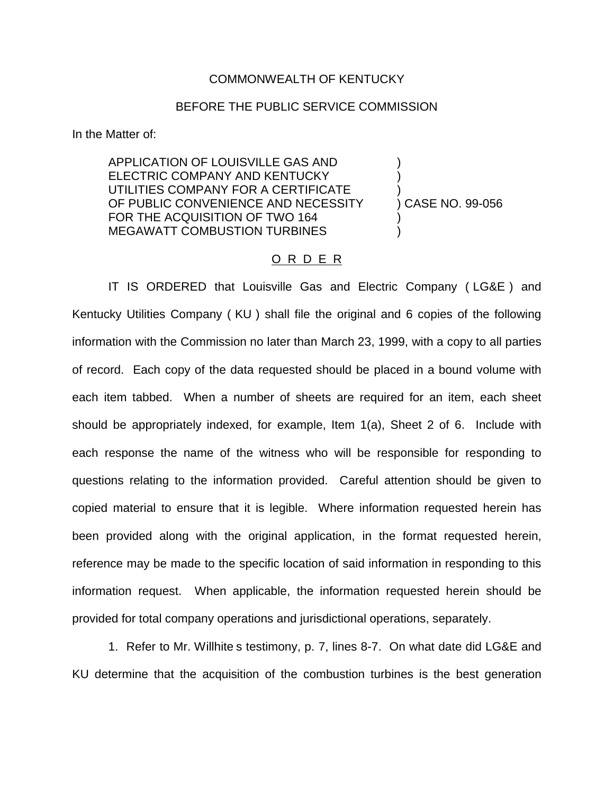## COMMONWEALTH OF KENTUCKY

## BEFORE THE PUBLIC SERVICE COMMISSION

In the Matter of:

APPLICATION OF LOUISVILLE GAS AND ) ELECTRIC COMPANY AND KENTUCKY UTILITIES COMPANY FOR A CERTIFICATE OF PUBLIC CONVENIENCE AND NECESSITY (CASE NO. 99-056) FOR THE ACQUISITION OF TWO 164 MEGAWATT COMBUSTION TURBINES

## O R D E R

IT IS ORDERED that Louisville Gas and Electric Company ( LG&E ) and Kentucky Utilities Company ( KU ) shall file the original and 6 copies of the following information with the Commission no later than March 23, 1999, with a copy to all parties of record. Each copy of the data requested should be placed in a bound volume with each item tabbed. When a number of sheets are required for an item, each sheet should be appropriately indexed, for example, Item 1(a), Sheet 2 of 6. Include with each response the name of the witness who will be responsible for responding to questions relating to the information provided. Careful attention should be given to copied material to ensure that it is legible. Where information requested herein has been provided along with the original application, in the format requested herein, reference may be made to the specific location of said information in responding to this information request. When applicable, the information requested herein should be provided for total company operations and jurisdictional operations, separately.

1. Refer to Mr. Willhite s testimony, p. 7, lines 8-7. On what date did LG&E and KU determine that the acquisition of the combustion turbines is the best generation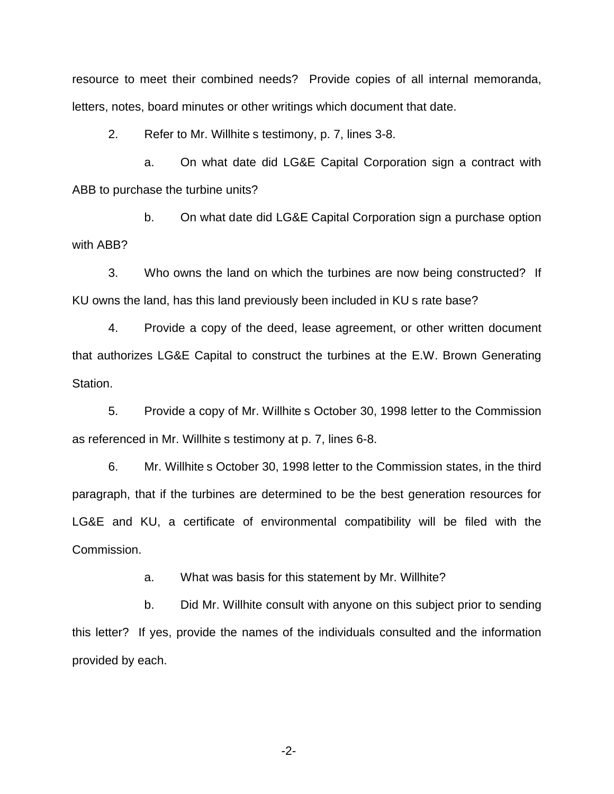resource to meet their combined needs? Provide copies of all internal memoranda, letters, notes, board minutes or other writings which document that date.

2. Refer to Mr. Willhite s testimony, p. 7, lines 3-8.

a. On what date did LG&E Capital Corporation sign a contract with ABB to purchase the turbine units?

b. On what date did LG&E Capital Corporation sign a purchase option with ABB?

3. Who owns the land on which the turbines are now being constructed? If KU owns the land, has this land previously been included in KU s rate base?

4. Provide a copy of the deed, lease agreement, or other written document that authorizes LG&E Capital to construct the turbines at the E.W. Brown Generating Station.

5. Provide a copy of Mr. Willhite s October 30, 1998 letter to the Commission as referenced in Mr. Willhite s testimony at p. 7, lines 6-8.

6. Mr. Willhite s October 30, 1998 letter to the Commission states, in the third paragraph, that if the turbines are determined to be the best generation resources for LG&E and KU, a certificate of environmental compatibility will be filed with the Commission.

a. What was basis for this statement by Mr. Willhite?

b. Did Mr. Willhite consult with anyone on this subject prior to sending this letter? If yes, provide the names of the individuals consulted and the information provided by each.

-2-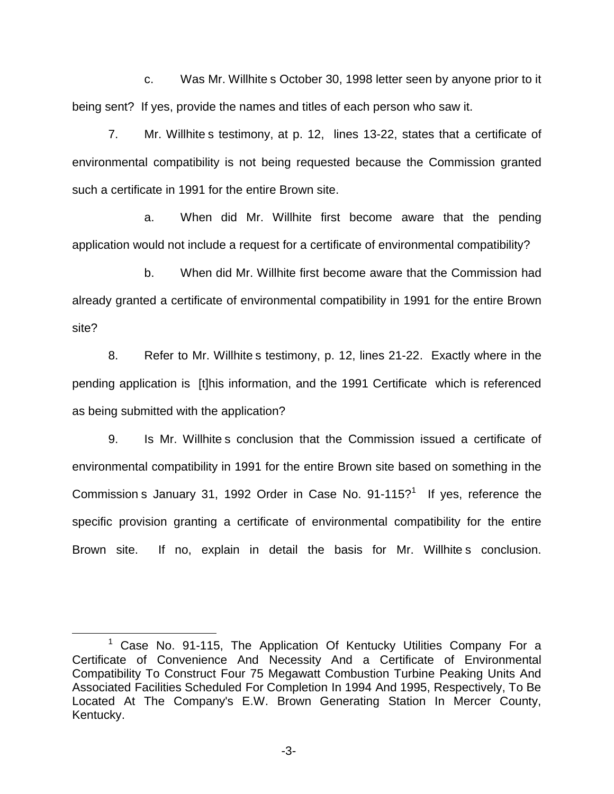c. Was Mr. Willhite s October 30, 1998 letter seen by anyone prior to it being sent? If yes, provide the names and titles of each person who saw it.

7. Mr. Willhite s testimony, at p. 12, lines 13-22, states that a certificate of environmental compatibility is not being requested because the Commission granted such a certificate in 1991 for the entire Brown site.

a. When did Mr. Willhite first become aware that the pending application would not include a request for a certificate of environmental compatibility?

b. When did Mr. Willhite first become aware that the Commission had already granted a certificate of environmental compatibility in 1991 for the entire Brown site?

8. Refer to Mr. Willhite s testimony, p. 12, lines 21-22. Exactly where in the pending application is [t]his information, and the 1991 Certificate which is referenced as being submitted with the application?

9. Is Mr. Willhite s conclusion that the Commission issued a certificate of environmental compatibility in 1991 for the entire Brown site based on something in the Commission s January 31, 1992 Order in Case No.  $91-115$ ?<sup>1</sup> If yes, reference the specific provision granting a certificate of environmental compatibility for the entire Brown site. If no, explain in detail the basis for Mr. Willhite s conclusion.

-3-

 $1$  Case No. 91-115, The Application Of Kentucky Utilities Company For a Certificate of Convenience And Necessity And a Certificate of Environmental Compatibility To Construct Four 75 Megawatt Combustion Turbine Peaking Units And Associated Facilities Scheduled For Completion In 1994 And 1995, Respectively, To Be Located At The Company's E.W. Brown Generating Station In Mercer County, Kentucky.